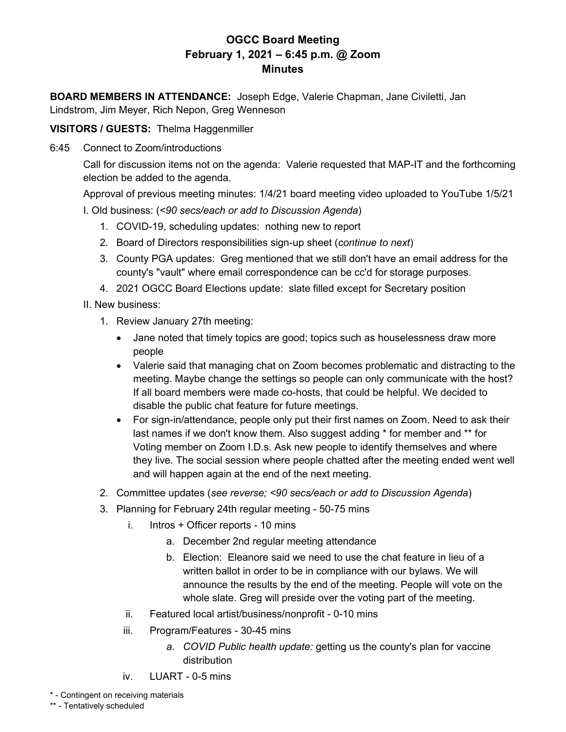## **OGCC Board Meeting February 1, 2021 – 6:45 p.m. @ Zoom Minutes**

**BOARD MEMBERS IN ATTENDANCE:** Joseph Edge, Valerie Chapman, Jane Civiletti, Jan Lindstrom, Jim Meyer, Rich Nepon, Greg Wenneson

**VISITORS / GUESTS:** Thelma Haggenmiller

6:45 Connect to Zoom/introductions

Call for discussion items not on the agenda: Valerie requested that MAP-IT and the forthcoming election be added to the agenda.

Approval of previous meeting minutes: 1/4/21 board meeting video uploaded to YouTube 1/5/21 I. Old business: (*<90 secs/each or add to Discussion Agenda*)

- 1. COVID-19, scheduling updates: nothing new to report
- 2. Board of Directors responsibilities sign-up sheet (*continue to next*)
- 3. County PGA updates: Greg mentioned that we still don't have an email address for the county's "vault" where email correspondence can be cc'd for storage purposes.
- 4. 2021 OGCC Board Elections update: slate filled except for Secretary position
- II. New business:
	- 1. Review January 27th meeting:
		- Jane noted that timely topics are good; topics such as houselessness draw more people
		- Valerie said that managing chat on Zoom becomes problematic and distracting to the meeting. Maybe change the settings so people can only communicate with the host? If all board members were made co-hosts, that could be helpful. We decided to disable the public chat feature for future meetings.
		- For sign-in/attendance, people only put their first names on Zoom. Need to ask their last names if we don't know them. Also suggest adding \* for member and \*\* for Voting member on Zoom I.D.s. Ask new people to identify themselves and where they live. The social session where people chatted after the meeting ended went well and will happen again at the end of the next meeting.
	- 2. Committee updates (*see reverse; <90 secs/each or add to Discussion Agenda*)
	- 3. Planning for February 24th regular meeting 50-75 mins
		- i. Intros + Officer reports 10 mins
			- a. December 2nd regular meeting attendance
			- b. Election: Eleanore said we need to use the chat feature in lieu of a written ballot in order to be in compliance with our bylaws. We will announce the results by the end of the meeting. People will vote on the whole slate. Greg will preside over the voting part of the meeting.
		- ii. Featured local artist/business/nonprofit 0-10 mins
		- iii. Program/Features 30-45 mins
			- *a. COVID Public health update:* getting us the county's plan for vaccine distribution
		- iv. LUART 0-5 mins
- \* Contingent on receiving materials

\*\* - Tentatively scheduled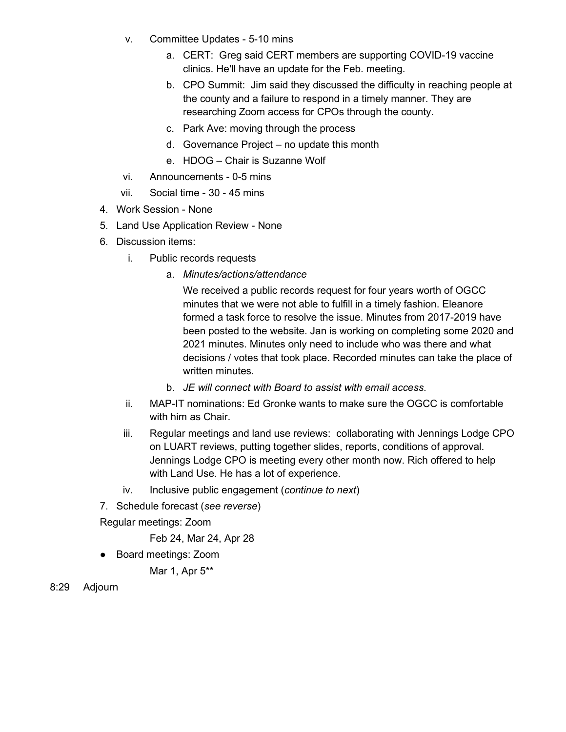- v. Committee Updates 5-10 mins
	- a. CERT: Greg said CERT members are supporting COVID-19 vaccine clinics. He'll have an update for the Feb. meeting.
	- b. CPO Summit: Jim said they discussed the difficulty in reaching people at the county and a failure to respond in a timely manner. They are researching Zoom access for CPOs through the county.
	- c. Park Ave: moving through the process
	- d. Governance Project no update this month
	- e. HDOG Chair is Suzanne Wolf
- vi. Announcements 0-5 mins
- vii. Social time 30 45 mins
- 4. Work Session None
- 5. Land Use Application Review None
- 6. Discussion items:
	- i. Public records requests
		- a. *Minutes/actions/attendance*

We received a public records request for four years worth of OGCC minutes that we were not able to fulfill in a timely fashion. Eleanore formed a task force to resolve the issue. Minutes from 2017-2019 have been posted to the website. Jan is working on completing some 2020 and 2021 minutes. Minutes only need to include who was there and what decisions / votes that took place. Recorded minutes can take the place of written minutes.

- b. *JE will connect with Board to assist with email access.*
- ii. MAP-IT nominations: Ed Gronke wants to make sure the OGCC is comfortable with him as Chair.
- iii. Regular meetings and land use reviews: collaborating with Jennings Lodge CPO on LUART reviews, putting together slides, reports, conditions of approval. Jennings Lodge CPO is meeting every other month now. Rich offered to help with Land Use. He has a lot of experience.
- iv. Inclusive public engagement (*continue to next*)
- 7. Schedule forecast (*see reverse*)

Regular meetings: Zoom

Feb 24, Mar 24, Apr 28

● Board meetings: Zoom

Mar 1, Apr 5\*\*

8:29 Adjourn